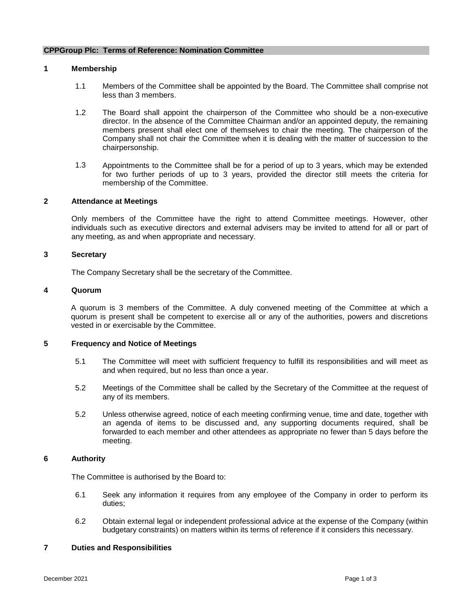#### **CPPGroup Plc: Terms of Reference: Nomination Committee**

## **1 Membership**

- 1.1 Members of the Committee shall be appointed by the Board. The Committee shall comprise not less than 3 members.
- 1.2 The Board shall appoint the chairperson of the Committee who should be a non-executive director. In the absence of the Committee Chairman and/or an appointed deputy, the remaining members present shall elect one of themselves to chair the meeting. The chairperson of the Company shall not chair the Committee when it is dealing with the matter of succession to the chairpersonship.
- 1.3 Appointments to the Committee shall be for a period of up to 3 years, which may be extended for two further periods of up to 3 years, provided the director still meets the criteria for membership of the Committee.

## **2 Attendance at Meetings**

Only members of the Committee have the right to attend Committee meetings. However, other individuals such as executive directors and external advisers may be invited to attend for all or part of any meeting, as and when appropriate and necessary.

### **3 Secretary**

The Company Secretary shall be the secretary of the Committee.

#### **4 Quorum**

A quorum is 3 members of the Committee. A duly convened meeting of the Committee at which a quorum is present shall be competent to exercise all or any of the authorities, powers and discretions vested in or exercisable by the Committee.

## **5 Frequency and Notice of Meetings**

- 5.1 The Committee will meet with sufficient frequency to fulfill its responsibilities and will meet as and when required, but no less than once a year.
- 5.2 Meetings of the Committee shall be called by the Secretary of the Committee at the request of any of its members.
- 5.2 Unless otherwise agreed, notice of each meeting confirming venue, time and date, together with an agenda of items to be discussed and, any supporting documents required, shall be forwarded to each member and other attendees as appropriate no fewer than 5 days before the meeting.

#### **6 Authority**

The Committee is authorised by the Board to:

- 6.1 Seek any information it requires from any employee of the Company in order to perform its duties;
- 6.2 Obtain external legal or independent professional advice at the expense of the Company (within budgetary constraints) on matters within its terms of reference if it considers this necessary.

## **7 Duties and Responsibilities**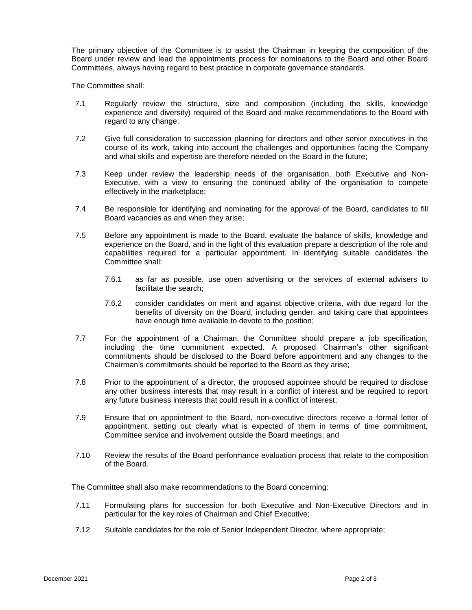The primary objective of the Committee is to assist the Chairman in keeping the composition of the Board under review and lead the appointments process for nominations to the Board and other Board Committees, always having regard to best practice in corporate governance standards.

The Committee shall:

- 7.1 Regularly review the structure, size and composition (including the skills, knowledge experience and diversity) required of the Board and make recommendations to the Board with regard to any change;
- 7.2 Give full consideration to succession planning for directors and other senior executives in the course of its work, taking into account the challenges and opportunities facing the Company and what skills and expertise are therefore needed on the Board in the future;
- 7.3 Keep under review the leadership needs of the organisation, both Executive and Non-Executive, with a view to ensuring the continued ability of the organisation to compete effectively in the marketplace;
- 7.4 Be responsible for identifying and nominating for the approval of the Board, candidates to fill Board vacancies as and when they arise;
- 7.5 Before any appointment is made to the Board, evaluate the balance of skills, knowledge and experience on the Board, and in the light of this evaluation prepare a description of the role and capabilities required for a particular appointment. In identifying suitable candidates the Committee shall:
	- 7.6.1 as far as possible, use open advertising or the services of external advisers to facilitate the search;
	- 7.6.2 consider candidates on merit and against objective criteria, with due regard for the benefits of diversity on the Board, including gender, and taking care that appointees have enough time available to devote to the position;
- 7.7 For the appointment of a Chairman, the Committee should prepare a job specification, including the time commitment expected. A proposed Chairman's other significant commitments should be disclosed to the Board before appointment and any changes to the Chairman's commitments should be reported to the Board as they arise;
- 7.8 Prior to the appointment of a director, the proposed appointee should be required to disclose any other business interests that may result in a conflict of interest and be required to report any future business interests that could result in a conflict of interest;
- 7.9 Ensure that on appointment to the Board, non-executive directors receive a formal letter of appointment, setting out clearly what is expected of them in terms of time commitment, Committee service and involvement outside the Board meetings; and
- 7.10 Review the results of the Board performance evaluation process that relate to the composition of the Board.

The Committee shall also make recommendations to the Board concerning:

- 7.11 Formulating plans for succession for both Executive and Non-Executive Directors and in particular for the key roles of Chairman and Chief Executive;
- 7.12 Suitable candidates for the role of Senior Independent Director, where appropriate;